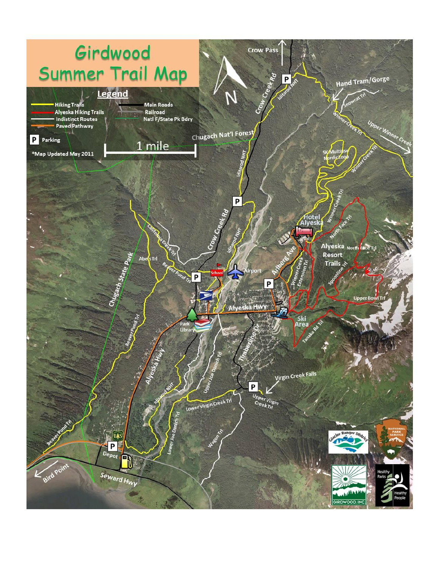